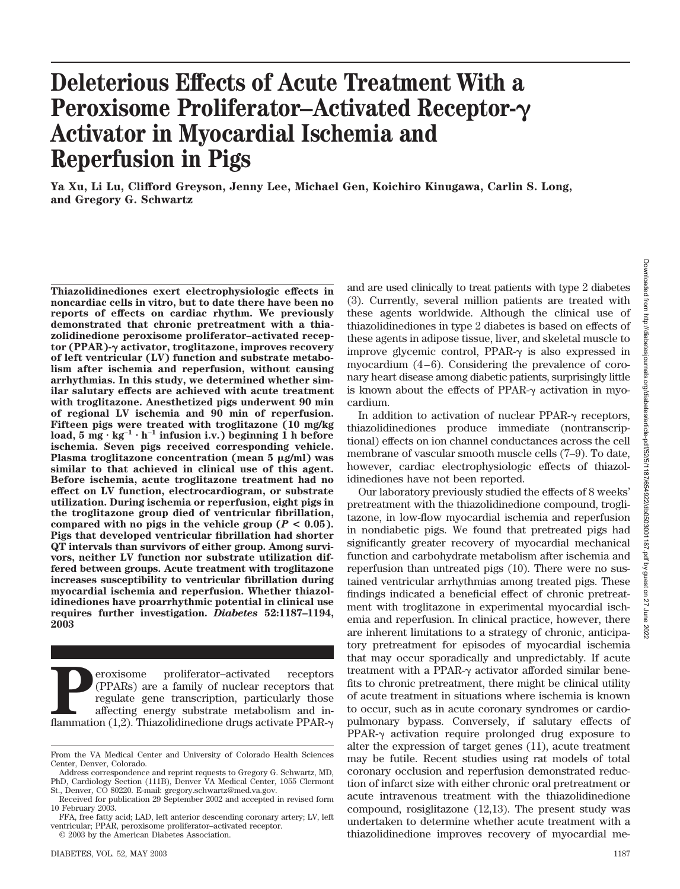# **Deleterious Effects of Acute Treatment With a Peroxisome Proliferator–Activated Receptor- Activator in Myocardial Ischemia and Reperfusion in Pigs**

**Ya Xu, Li Lu, Clifford Greyson, Jenny Lee, Michael Gen, Koichiro Kinugawa, Carlin S. Long, and Gregory G. Schwartz**

**Thiazolidinediones exert electrophysiologic effects in noncardiac cells in vitro, but to date there have been no reports of effects on cardiac rhythm. We previously demonstrated that chronic pretreatment with a thiazolidinedione peroxisome proliferator–activated receptor (PPAR)- activator, troglitazone, improves recovery of left ventricular (LV) function and substrate metabolism after ischemia and reperfusion, without causing arrhythmias. In this study, we determined whether similar salutary effects are achieved with acute treatment with troglitazone. Anesthetized pigs underwent 90 min of regional LV ischemia and 90 min of reperfusion. Fifteen pigs were treated with troglitazone (10 mg/kg** load,  $5 \text{ mg} \cdot \text{kg}^{-1} \cdot \text{h}^{-1}$  infusion i.v.) beginning 1 h before **ischemia. Seven pigs received corresponding vehicle.** Plasma troglitazone concentration (mean 5  $\mu$ g/ml) was **similar to that achieved in clinical use of this agent. Before ischemia, acute troglitazone treatment had no effect on LV function, electrocardiogram, or substrate utilization. During ischemia or reperfusion, eight pigs in the troglitazone group died of ventricular fibrillation, compared with no pigs in the vehicle group (** $P < 0.05$ **). Pigs that developed ventricular fibrillation had shorter QT intervals than survivors of either group. Among survivors, neither LV function nor substrate utilization differed between groups. Acute treatment with troglitazone increases susceptibility to ventricular fibrillation during myocardial ischemia and reperfusion. Whether thiazolidinediones have proarrhythmic potential in clinical use requires further investigation.** *Diabetes* **52:1187–1194, 2003**

**PERS**) are a family of nuclear receptors that regulate gene transcription, particularly those affecting energy substrate metabolism and inflammation (1,2). Thiazolidinedione drugs activate PPAR- $\gamma$ (PPARs) are a family of nuclear receptors that regulate gene transcription, particularly those affecting energy substrate metabolism and in-

© 2003 by the American Diabetes Association.

and are used clinically to treat patients with type 2 diabetes (3). Currently, several million patients are treated with these agents worldwide. Although the clinical use of thiazolidinediones in type 2 diabetes is based on effects of these agents in adipose tissue, liver, and skeletal muscle to improve glycemic control, PPAR- $\gamma$  is also expressed in myocardium (4–6). Considering the prevalence of coronary heart disease among diabetic patients, surprisingly little is known about the effects of PPAR- $\gamma$  activation in myocardium.

In addition to activation of nuclear PPAR- $\gamma$  receptors, thiazolidinediones produce immediate (nontranscriptional) effects on ion channel conductances across the cell membrane of vascular smooth muscle cells (7–9). To date, however, cardiac electrophysiologic effects of thiazolidinediones have not been reported.

Our laboratory previously studied the effects of 8 weeks' pretreatment with the thiazolidinedione compound, troglitazone, in low-flow myocardial ischemia and reperfusion in nondiabetic pigs. We found that pretreated pigs had significantly greater recovery of myocardial mechanical function and carbohydrate metabolism after ischemia and reperfusion than untreated pigs (10). There were no sustained ventricular arrhythmias among treated pigs. These findings indicated a beneficial effect of chronic pretreatment with troglitazone in experimental myocardial ischemia and reperfusion. In clinical practice, however, there are inherent limitations to a strategy of chronic, anticipatory pretreatment for episodes of myocardial ischemia that may occur sporadically and unpredictably. If acute treatment with a PPAR- $\gamma$  activator afforded similar benefits to chronic pretreatment, there might be clinical utility of acute treatment in situations where ischemia is known to occur, such as in acute coronary syndromes or cardiopulmonary bypass. Conversely, if salutary effects of PPAR- $\gamma$  activation require prolonged drug exposure to alter the expression of target genes (11), acute treatment may be futile. Recent studies using rat models of total coronary occlusion and reperfusion demonstrated reduction of infarct size with either chronic oral pretreatment or acute intravenous treatment with the thiazolidinedione compound, rosiglitazone (12,13). The present study was undertaken to determine whether acute treatment with a thiazolidinedione improves recovery of myocardial me-

From the VA Medical Center and University of Colorado Health Sciences Center, Denver, Colorado.

Address correspondence and reprint requests to Gregory G. Schwartz, MD, PhD, Cardiology Section (111B), Denver VA Medical Center, 1055 Clermont St., Denver, CO 80220. E-mail: gregory.schwartz@med.va.gov.

Received for publication 29 September 2002 and accepted in revised form 10 February 2003.

FFA, free fatty acid; LAD, left anterior descending coronary artery; LV, left ventricular; PPAR, peroxisome proliferator–activated receptor.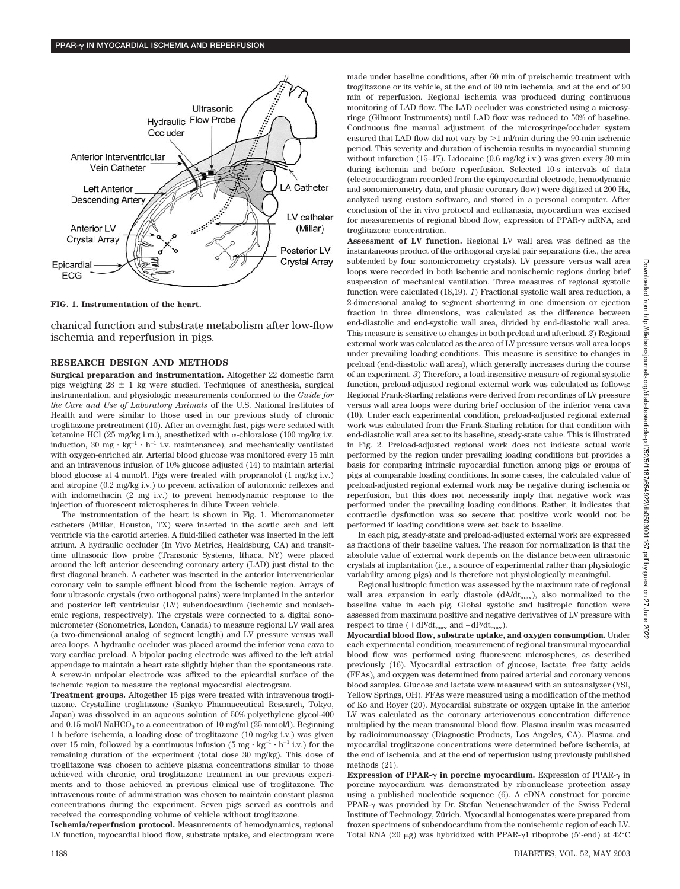

**FIG. 1. Instrumentation of the heart.**

chanical function and substrate metabolism after low-flow ischemia and reperfusion in pigs.

### **RESEARCH DESIGN AND METHODS**

**Surgical preparation and instrumentation.** Altogether 22 domestic farm pigs weighing  $28 \pm 1$  kg were studied. Techniques of anesthesia, surgical instrumentation, and physiologic measurements conformed to the *Guide for the Care and Use of Laboratory Animals* of the U.S. National Institutes of Health and were similar to those used in our previous study of chronic troglitazone pretreatment (10). After an overnight fast, pigs were sedated with ketamine HCl (25 mg/kg i.m.), anesthetized with  $\alpha$ -chloralose (100 mg/kg i.v. induction, 30 mg  $\cdot$   $kg^{-1}$   $\cdot$  h<sup>-1</sup> i.v. maintenance), and mechanically ventilated with oxygen-enriched air. Arterial blood glucose was monitored every 15 min and an intravenous infusion of 10% glucose adjusted (14) to maintain arterial blood glucose at 4 mmol/l. Pigs were treated with propranolol (1 mg/kg i.v.) and atropine (0.2 mg/kg i.v.) to prevent activation of autonomic reflexes and with indomethacin (2 mg i.v.) to prevent hemodynamic response to the injection of fluorescent microspheres in dilute Tween vehicle.

The instrumentation of the heart is shown in Fig. 1. Micromanometer catheters (Millar, Houston, TX) were inserted in the aortic arch and left ventricle via the carotid arteries. A fluid-filled catheter was inserted in the left atrium. A hydraulic occluder (In Vivo Metrics, Healdsburg, CA) and transittime ultrasonic flow probe (Transonic Systems, Ithaca, NY) were placed around the left anterior descending coronary artery (LAD) just distal to the first diagonal branch. A catheter was inserted in the anterior interventricular coronary vein to sample effluent blood from the ischemic region. Arrays of four ultrasonic crystals (two orthogonal pairs) were implanted in the anterior and posterior left ventricular (LV) subendocardium (ischemic and nonischemic regions, respectively). The crystals were connected to a digital sonomicrometer (Sonometrics, London, Canada) to measure regional LV wall area (a two-dimensional analog of segment length) and LV pressure versus wall area loops. A hydraulic occluder was placed around the inferior vena cava to vary cardiac preload. A bipolar pacing electrode was affixed to the left atrial appendage to maintain a heart rate slightly higher than the spontaneous rate. A screw-in unipolar electrode was affixed to the epicardial surface of the ischemic region to measure the regional myocardial electrogram.

**Treatment groups.** Altogether 15 pigs were treated with intravenous troglitazone. Crystalline troglitazone (Sankyo Pharmaceutical Research, Tokyo, Japan) was dissolved in an aqueous solution of 50% polyethylene glycol-400 and 0.15 mol/l NaHCO<sub>3</sub> to a concentration of 10 mg/ml (25 mmol/l). Beginning 1 h before ischemia, a loading dose of troglitazone (10 mg/kg i.v.) was given over 15 min, followed by a continuous infusion  $(5 \text{ mg} \cdot \text{kg}^{-1} \cdot \text{h}^{-1} \text{ i.v.})$  for the remaining duration of the experiment (total dose 30 mg/kg). This dose of troglitazone was chosen to achieve plasma concentrations similar to those achieved with chronic, oral troglitazone treatment in our previous experiments and to those achieved in previous clinical use of troglitazone. The intravenous route of administration was chosen to maintain constant plasma concentrations during the experiment. Seven pigs served as controls and received the corresponding volume of vehicle without troglitazone.

**Ischemia/reperfusion protocol.** Measurements of hemodynamics, regional LV function, myocardial blood flow, substrate uptake, and electrogram were made under baseline conditions, after 60 min of preischemic treatment with troglitazone or its vehicle, at the end of 90 min ischemia, and at the end of 90 min of reperfusion. Regional ischemia was produced during continuous monitoring of LAD flow. The LAD occluder was constricted using a microsyringe (Gilmont Instruments) until LAD flow was reduced to 50% of baseline. Continuous fine manual adjustment of the microsyringe/occluder system ensured that LAD flow did not vary by  ${>}1$  ml/min during the 90-min ischemic period. This severity and duration of ischemia results in myocardial stunning without infarction (15–17). Lidocaine (0.6 mg/kg i.v.) was given every 30 min during ischemia and before reperfusion. Selected 10-s intervals of data (electrocardiogram recorded from the epimyocardial electrode, hemodynamic and sonomicrometry data, and phasic coronary flow) were digitized at 200 Hz, analyzed using custom software, and stored in a personal computer. After conclusion of the in vivo protocol and euthanasia, myocardium was excised for measurements of regional blood flow, expression of PPAR- $\gamma$  mRNA, and troglitazone concentration.

**Assessment of LV function.** Regional LV wall area was defined as the instantaneous product of the orthogonal crystal pair separations (i.e., the area subtended by four sonomicrometry crystals). LV pressure versus wall area loops were recorded in both ischemic and nonischemic regions during brief suspension of mechanical ventilation. Three measures of regional systolic function were calculated (18,19). *1*) Fractional systolic wall area reduction, a 2-dimensional analog to segment shortening in one dimension or ejection fraction in three dimensions, was calculated as the difference between end-diastolic and end-systolic wall area, divided by end-diastolic wall area. This measure is sensitive to changes in both preload and afterload. *2*) Regional external work was calculated as the area of LV pressure versus wall area loops under prevailing loading conditions. This measure is sensitive to changes in preload (end-diastolic wall area), which generally increases during the course of an experiment. *3*) Therefore, a load-insensitive measure of regional systolic function, preload-adjusted regional external work was calculated as follows: Regional Frank-Starling relations were derived from recordings of LV pressure versus wall area loops were during brief occlusion of the inferior vena cava (10). Under each experimental condition, preload-adjusted regional external work was calculated from the Frank-Starling relation for that condition with end-diastolic wall area set to its baseline, steady-state value. This is illustrated in Fig. 2. Preload-adjusted regional work does not indicate actual work performed by the region under prevailing loading conditions but provides a basis for comparing intrinsic myocardial function among pigs or groups of pigs at comparable loading conditions. In some cases, the calculated value of preload-adjusted regional external work may be negative during ischemia or reperfusion, but this does not necessarily imply that negative work was performed under the prevailing loading conditions. Rather, it indicates that contractile dysfunction was so severe that positive work would not be performed if loading conditions were set back to baseline.

In each pig, steady-state and preload-adjusted external work are expressed as fractions of their baseline values. The reason for normalization is that the absolute value of external work depends on the distance between ultrasonic crystals at implantation (i.e., a source of experimental rather than physiologic variability among pigs) and is therefore not physiologically meaningful.

Regional lusitropic function was assessed by the maximum rate of regional wall area expansion in early diastole  $(dA/dt_{max})$ , also normalized to the baseline value in each pig. Global systolic and lusitropic function were assessed from maximum positive and negative derivatives of LV pressure with respect to time (+dP/dt $_{\rm max}$  and –dP/dt $_{\rm max}$ ).

**Myocardial blood flow, substrate uptake, and oxygen consumption.** Under each experimental condition, measurement of regional transmural myocardial blood flow was performed using fluorescent microspheres, as described previously (16). Myocardial extraction of glucose, lactate, free fatty acids (FFAs), and oxygen was determined from paired arterial and coronary venous blood samples. Glucose and lactate were measured with an autoanalyzer (YSI, Yellow Springs, OH). FFAs were measured using a modification of the method of Ko and Royer (20). Myocardial substrate or oxygen uptake in the anterior LV was calculated as the coronary arteriovenous concentration difference multiplied by the mean transmural blood flow. Plasma insulin was measured by radioimmunoassay (Diagnostic Products, Los Angeles, CA). Plasma and myocardial troglitazone concentrations were determined before ischemia, at the end of ischemia, and at the end of reperfusion using previously published methods (21).

**Expression of PPAR-** $\gamma$  **in porcine myocardium.** Expression of PPAR- $\gamma$  in porcine myocardium was demonstrated by ribonuclease protection assay using a published nucleotide sequence (6). A cDNA construct for porcine PPAR- $\gamma$  was provided by Dr. Stefan Neuenschwander of the Swiss Federal Institute of Technology, Zürich. Myocardial homogenates were prepared from frozen specimens of subendocardium from the nonischemic region of each LV. Total RNA (20  $\mu$ g) was hybridized with PPAR- $\gamma$ 1 riboprobe (5'-end) at 42°C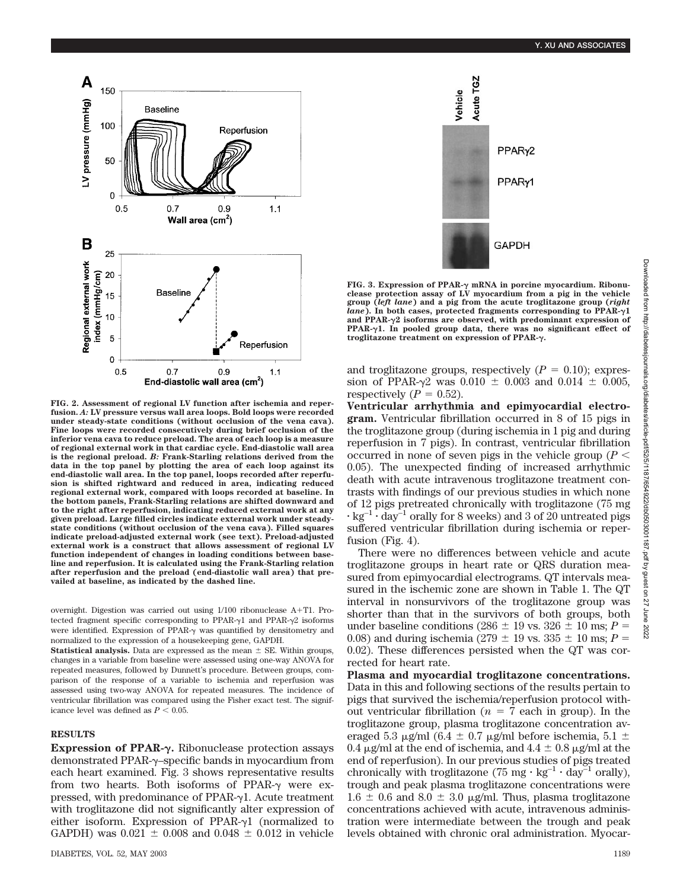

**FIG. 2. Assessment of regional LV function after ischemia and reperfusion.** *A:* **LV pressure versus wall area loops. Bold loops were recorded under steady-state conditions (without occlusion of the vena cava). Fine loops were recorded consecutively during brief occlusion of the inferior vena cava to reduce preload. The area of each loop is a measure of regional external work in that cardiac cycle. End-diastolic wall area is the regional preload.** *B:* **Frank-Starling relations derived from the data in the top panel by plotting the area of each loop against its end-diastolic wall area. In the top panel, loops recorded after reperfusion is shifted rightward and reduced in area, indicating reduced regional external work, compared with loops recorded at baseline. In the bottom panels, Frank-Starling relations are shifted downward and to the right after reperfusion, indicating reduced external work at any given preload. Large filled circles indicate external work under steadystate conditions (without occlusion of the vena cava). Filled squares indicate preload-adjusted external work (see text). Preload-adjusted external work is a construct that allows assessment of regional LV function independent of changes in loading conditions between baseline and reperfusion. It is calculated using the Frank-Starling relation after reperfusion and the preload (end-diastolic wall area) that prevailed at baseline, as indicated by the dashed line.**

overnight. Digestion was carried out using  $1/100$  ribonuclease A+T1. Protected fragment specific corresponding to PPAR- $\gamma$ 1 and PPAR- $\gamma$ 2 isoforms were identified. Expression of PPAR- $\gamma$  was quantified by densitometry and normalized to the expression of a housekeeping gene, GAPDH.

**Statistical analysis.** Data are expressed as the mean  $\pm$  SE. Within groups, changes in a variable from baseline were assessed using one-way ANOVA for repeated measures, followed by Dunnett's procedure. Between groups, comparison of the response of a variable to ischemia and reperfusion was assessed using two-way ANOVA for repeated measures. The incidence of ventricular fibrillation was compared using the Fisher exact test. The significance level was defined as  $P < 0.05$ .

### **RESULTS**

**Expression of PPAR-.** Ribonuclease protection assays demonstrated PPAR- $\gamma$ -specific bands in myocardium from each heart examined. Fig. 3 shows representative results from two hearts. Both isoforms of PPAR- $\gamma$  were expressed, with predominance of PPAR- $\gamma$ 1. Acute treatment with troglitazone did not significantly alter expression of either isoform. Expression of PPAR- $\gamma$ 1 (normalized to GAPDH) was  $0.021 \pm 0.008$  and  $0.048 \pm 0.012$  in vehicle



**FIG. 3. Expression of PPAR-γ mRNA in porcine myocardium. Ribonuclease protection assay of LV myocardium from a pig in the vehicle group (***left lane***) and a pig from the acute troglitazone group (***right lane***). In both cases, protected fragments corresponding to PPAR-1 and PPAR-2 isoforms are observed, with predominant expression of PPAR-1. In pooled group data, there was no significant effect of troglitazone treatment on expression of PPAR-.**

and troglitazone groups, respectively  $(P = 0.10)$ ; expression of PPAR- $\gamma$ 2 was 0.010  $\pm$  0.003 and 0.014  $\pm$  0.005, respectively  $(P = 0.52)$ .

**Ventricular arrhythmia and epimyocardial electrogram.** Ventricular fibrillation occurred in 8 of 15 pigs in the troglitazone group (during ischemia in 1 pig and during reperfusion in 7 pigs). In contrast, ventricular fibrillation occurred in none of seven pigs in the vehicle group  $(P \leq$ 0.05). The unexpected finding of increased arrhythmic death with acute intravenous troglitazone treatment contrasts with findings of our previous studies in which none of 12 pigs pretreated chronically with troglitazone (75 mg  $\cdot$  kg<sup>-1</sup>  $\cdot$  day<sup>-1</sup> orally for 8 weeks) and 3 of 20 untreated pigs suffered ventricular fibrillation during ischemia or reperfusion (Fig. 4).

There were no differences between vehicle and acute troglitazone groups in heart rate or QRS duration measured from epimyocardial electrograms. QT intervals measured in the ischemic zone are shown in Table 1. The QT interval in nonsurvivors of the troglitazone group was shorter than that in the survivors of both groups, both under baseline conditions ( $286 \pm 19$  vs.  $326 \pm 10$  ms;  $P =$ 0.08) and during ischemia  $(279 \pm 19 \text{ vs. } 335 \pm 10 \text{ ms}; P =$ 0.02). These differences persisted when the QT was corrected for heart rate.

**Plasma and myocardial troglitazone concentrations.** Data in this and following sections of the results pertain to pigs that survived the ischemia/reperfusion protocol without ventricular fibrillation ( $n = 7$  each in group). In the troglitazone group, plasma troglitazone concentration averaged 5.3  $\mu$ g/ml (6.4  $\pm$  0.7  $\mu$ g/ml before ischemia, 5.1  $\pm$ 0.4  $\mu$ g/ml at the end of ischemia, and 4.4  $\pm$  0.8  $\mu$ g/ml at the end of reperfusion). In our previous studies of pigs treated chronically with troglitazone (75 mg  $\cdot$  kg<sup>-1</sup>  $\cdot$  day<sup>-1</sup> orally), trough and peak plasma troglitazone concentrations were  $1.6 \pm 0.6$  and  $8.0 \pm 3.0$   $\mu$ g/ml. Thus, plasma troglitazone concentrations achieved with acute, intravenous administration were intermediate between the trough and peak levels obtained with chronic oral administration. Myocar-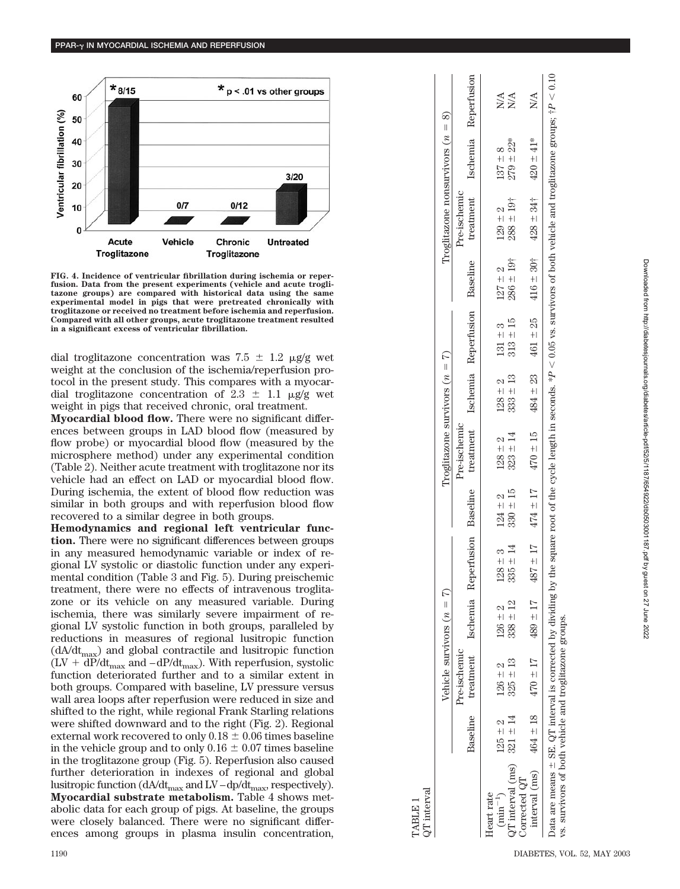

**FIG. 4. Incidence of ventricular fibrillation during ischemia or reperfusion. Data from the present experiments (vehicle and acute troglitazone groups) are compared with historical data using the same experimental model in pigs that were pretreated chronically with troglitazone or received no treatment before ischemia and reperfusion. Compared with all other groups, acute troglitazone treatment resulted in a signi ficant excess of ventricular fibrillation.**

dial troglitazone concentration was  $7.5 \pm 1.2$   $\mu$ g/g wet weight at the conclusion of the ischemia/reperfusion protocol in the present study. This compares with a myocardial troglitazone concentration of  $2.3 \pm 1.1$   $\mu$ g/g wet weight in pigs that received chronic, oral treatment.

**Myocardial blood flow.** There were no signi ficant differences between groups in LAD blood flow (measured by flow probe) or myocardial blood flow (measured by the microsphere method) under any experimental condition (Table 2). Neither acute treatment with troglitazone nor its vehicle had an effect on LAD or myocardial blood flow. During ischemia, the extent of blood flow reduction was similar in both groups and with reperfusion blood flow recovered to a similar degree in both groups.

**Hemodynamics and regional left ventricular function.** There were no significant differences between groups in any measured hemodynamic variable or index of regional LV systolic or diastolic function under any experimental condition (Table 3 and Fig. 5). During preischemic treatment, there were no effects of intravenous troglitazone or its vehicle on any measured variable. During ischemia, there was similarly severe impairment of regional LV systolic function in both groups, paralleled by reductions in measures of regional lusitropic function (dA/dt $_{\rm max}$ ) and global contractile and lusitropic function  $(LV + dP/dt_{max})$  and  $-dP/dt_{max}$ ). With reperfusion, systolic function deteriorated further and to a similar extent in both groups. Compared with baseline, LV pressure versus wall area loops after reperfusion were reduced in size and shifted to the right, while regional Frank Starling relations were shifted downward and to the right (Fig. 2). Regional external work recovered to only  $0.18 \pm 0.06$  times baseline in the vehicle group and to only  $0.16 \pm 0.07$  times baseline in the troglitazone group (Fig. 5). Reperfusion also caused further deterioration in indexes of regional and global lusitropic function (dA/dt<sub>max</sub> and LV – dp/dt<sub>max</sub>, respectively). **Myocardial substrate metabolism.** Table 4 shows metabolic data for each group of pigs. At baseline, the groups were closely balanced. There were no signi ficant differences among groups in plasma insulin concentration,

 $<0.05$  vs. survivors of both vehicle and troglitazone groups;  $\ddagger P < 0.10$ Reperfusion SE. QT interval is corrected by dividing by the square root of the cycle length in seconds. \**P* 0.05 vs. survivors of both vehicle and troglitazone groups; †*P* 0.10 treatment Ischemia Reperfusion NA<br>NA  $\mathbb{N}\mathbb{A}$  $\geq 8$  $\pm 22^*$  N/A  $\pm 41^*$  N/A 8 Vehicle survivors ( $n = 7$ )  $\frac{(n - 7)}{2}$  Troglitazone survivors ( $n = 7$ ) Troglitazone nonsurvivors ( $n = 8$ ) Troglitazone nonsurvivors  $(n)$ Ischemia  $420 \pm 41*$  $279 \pm 22^{\circ}$  $\frac{8}{11}$  $\pm 2$  137  $\pm$  $+19$   $279 +$  $± 34† 420 ±$ 137 Pre-ischemic Pre-ischemic  $428 \pm 34$ †  $288 \pm 19^{+}$ treatment  $\mathcal{L}$  $+1$  $\pm 2$  129  $\pm$  $+19$ <sup>+</sup> 288  $+$  $± 30<sup>+</sup>$  428  $±$ 129  $\begin{array}{c} +2 \\ +19 \end{array}$  $416 \pm 30$ <sup>+</sup> Baseline treatment Ischemia Reperfusion Baseline  $\mathfrak{a}$  $\pm$  3  $127 \pm$  $± 15$  286  $±$  $\pm 25$  416  $\pm$ 127 Reperfusion  $\pm$  25  $313\pm15$  $\infty$  $+1$  $\pm 2$  131  $\pm$  $\pm$  13  $\pm$  $\pm 23$  461  $\pm$  $\overline{31}$ 461  $\mathcal{L}$  $\mathbf{H}$ Data are means  $\pm$  SE. QT interval is corrected by dividing by the square root of the cycle length in seconds.  $*P$ Ischemia  $\begin{array}{c} 128 \pm 2 \\ 333 \pm 13 \end{array}$  $\tilde{a}$  $484 \pm 23$ Troglitazone survivors  $\pm 2$  128  $\pm$  $± 14$  333  $±$  $\pm 15$  484  $\pm$ Pre-ischemic Pre-ischemic  $\begin{array}{c} 128 \pm 2 \\ 323 \pm 14 \end{array}$ treatment  $470 \pm 15$  $\pm 2$  128  $\pm$  $15$  323  $\pm$  $\pm 17$   $\pm 12$ Baseline  $330 \pm 15$  $474 \pm 17$ treatment Ischemia Reperfusion Baseline  $\mathfrak{a}$  $+1$  $\pm$  3  $124$  $\pm$  14 330  $\pm$  $\pm$  17 474  $\pm$ 124 Reperfusion  $\pm$  17  $14$ က  $+1$  +1  $\pm 2$  128  $\pm$  $\pm 12$  335  $\pm$  $\pm$  17 487  $\pm$ 28 335 487  $\epsilon$  $\begin{array}{c} 2 \overline{1} \\ 1 \overline{1} \\ 1 \end{array}$  $\parallel$ Ischemia  $489 \pm 17$ Vehicle survivors (n  $\pm 2$  126  $\pm$  $\pm$  13  $\pm$  $\pm 17$   $\pm 189$ vs. survivors of both vehicle and troglitazone groups. vs. survivors of both vehicle and troglitazone groups. 126 338 Pre-ischemic Pre-ischemic treatment  $+13$  $470 \pm 17$  $\infty$  $+1$  $-126 +$  $\pm 14$  325  $\pm$  $18$  470  $\pm$ 126 325  $\begin{array}{c} 125 \pm 2 \\ 321 \pm 14 \end{array}$ Baseline  $464 \pm 18$  $^{1}$ ) 125  $\pm$ QT interval (ms)  $321 \pm$ interval (ms)  $464 \pm$  $(\text{min}^{-1})$ <br>  $2T$  interval (ms) Data are means  $\pm$ interval (ms) Corrected QT Corrected  $QT$ QT interval QT interval Heart rate Heart rate **TABLE 1** TABLE 1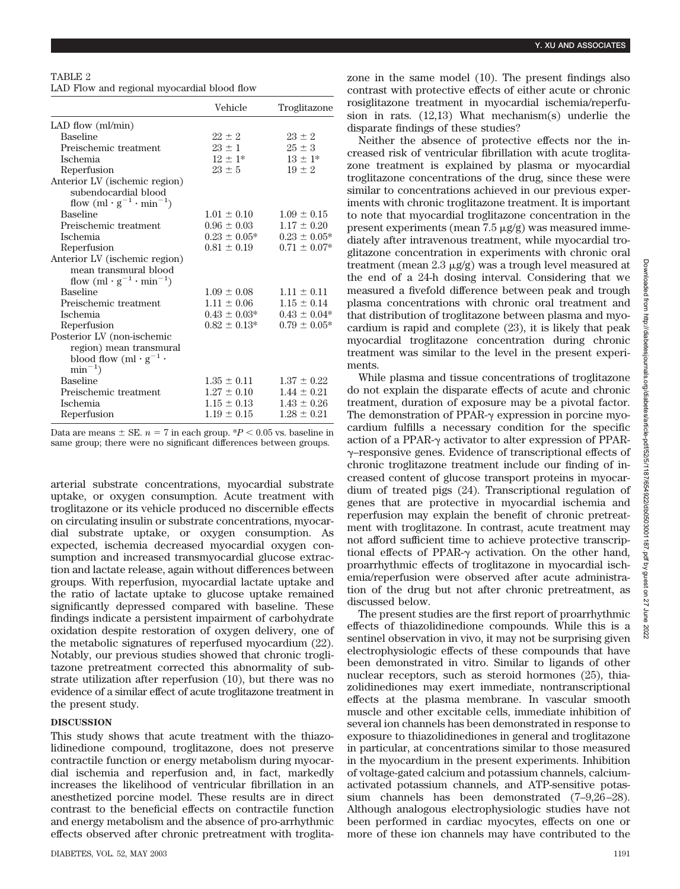|  |  |  |  | LAD Flow and regional myocardial blood flow |  |  |
|--|--|--|--|---------------------------------------------|--|--|
|--|--|--|--|---------------------------------------------|--|--|

|                                                                | Vehicle           | Troglitazone      |
|----------------------------------------------------------------|-------------------|-------------------|
| LAD flow $(ml/min)$                                            |                   |                   |
| <b>Baseline</b>                                                | $22 \pm 2$        | $23 \pm 2$        |
| Preischemic treatment                                          | $23 \pm 1$        | $25 \pm 3$        |
| <b>Ischemia</b>                                                | $12 \pm 1*$       | $13 \pm 1*$       |
| Reperfusion                                                    | $23 \pm 5$        | $19 \pm 2$        |
| Anterior LV (ischemic region)<br>subendocardial blood          |                   |                   |
| flow $(ml \cdot g^{-1} \cdot min^{-1})$                        |                   |                   |
| Baseline                                                       | $1.01 \pm 0.10$   | $1.09 \pm 0.15$   |
| Preischemic treatment                                          | $0.96 \pm 0.03$   | $1.17 \pm 0.20$   |
| <b>Ischemia</b>                                                | $0.23 \pm 0.05^*$ | $0.23 \pm 0.05^*$ |
| Reperfusion                                                    | $0.81 \pm 0.19$   | $0.71 \pm 0.07*$  |
| Anterior LV (ischemic region)                                  |                   |                   |
| mean transmural blood                                          |                   |                   |
| flow $(ml \cdot g^{-1} \cdot min^{-1})$                        |                   |                   |
| <b>Baseline</b>                                                | $1.09 \pm 0.08$   | $1.11 \pm 0.11$   |
| Preischemic treatment                                          | $1.11 \pm 0.06$   | $1.15 \pm 0.14$   |
| <b>Ischemia</b>                                                | $0.43 \pm 0.03*$  | $0.43 \pm 0.04*$  |
| Reperfusion                                                    | $0.82 \pm 0.13*$  | $0.79 \pm 0.05^*$ |
| Posterior LV (non-ischemic                                     |                   |                   |
| region) mean transmural<br>blood flow $(ml \cdot g^{-1} \cdot$ |                   |                   |
| $\min^{-1}$                                                    |                   |                   |
| <b>Baseline</b>                                                | $1.35 \pm 0.11$   | $1.37 \pm 0.22$   |
| Preischemic treatment                                          | $1.27 \pm 0.10$   | $1.44 \pm 0.21$   |
| <b>Ischemia</b>                                                | $1.15 \pm 0.13$   | $1.43 \pm 0.26$   |
| Reperfusion                                                    | $1.19 \pm 0.15$   | $1.28 \pm 0.21$   |

Data are means  $\pm$  SE.  $n = 7$  in each group.  $P < 0.05$  vs. baseline in same group; there were no significant differences between groups.

arterial substrate concentrations, myocardial substrate uptake, or oxygen consumption. Acute treatment with troglitazone or its vehicle produced no discernible effects on circulating insulin or substrate concentrations, myocardial substrate uptake, or oxygen consumption. As expected, ischemia decreased myocardial oxygen consumption and increased transmyocardial glucose extraction and lactate release, again without differences between groups. With reperfusion, myocardial lactate uptake and the ratio of lactate uptake to glucose uptake remained significantly depressed compared with baseline. These findings indicate a persistent impairment of carbohydrate oxidation despite restoration of oxygen delivery, one of the metabolic signatures of reperfused myocardium (22). Notably, our previous studies showed that chronic troglitazone pretreatment corrected this abnormality of substrate utilization after reperfusion (10), but there was no evidence of a similar effect of acute troglitazone treatment in the present study.

## **DISCUSSION**

This study shows that acute treatment with the thiazolidinedione compound, troglitazone, does not preserve contractile function or energy metabolism during myocardial ischemia and reperfusion and, in fact, markedly increases the likelihood of ventricular fibrillation in an anesthetized porcine model. These results are in direct contrast to the beneficial effects on contractile function and energy metabolism and the absence of pro-arrhythmic effects observed after chronic pretreatment with troglitazone in the same model (10). The present findings also contrast with protective effects of either acute or chronic rosiglitazone treatment in myocardial ischemia/reperfusion in rats. (12,13) What mechanism(s) underlie the disparate findings of these studies?

Neither the absence of protective effects nor the increased risk of ventricular fibrillation with acute troglitazone treatment is explained by plasma or myocardial troglitazone concentrations of the drug, since these were similar to concentrations achieved in our previous experiments with chronic troglitazone treatment. It is important to note that myocardial troglitazone concentration in the present experiments (mean  $7.5 \mu g/g$ ) was measured immediately after intravenous treatment, while myocardial troglitazone concentration in experiments with chronic oral treatment (mean  $2.3 \mu g/g$ ) was a trough level measured at the end of a 24-h dosing interval. Considering that we measured a fivefold difference between peak and trough plasma concentrations with chronic oral treatment and that distribution of troglitazone between plasma and myocardium is rapid and complete (23), it is likely that peak myocardial troglitazone concentration during chronic treatment was similar to the level in the present experiments.

While plasma and tissue concentrations of troglitazone do not explain the disparate effects of acute and chronic treatment, duration of exposure may be a pivotal factor. The demonstration of PPAR- $\gamma$  expression in porcine myocardium fulfills a necessary condition for the specific action of a PPAR- $\gamma$  activator to alter expression of PPAR-–responsive genes. Evidence of transcriptional effects of chronic troglitazone treatment include our finding of increased content of glucose transport proteins in myocardium of treated pigs (24). Transcriptional regulation of genes that are protective in myocardial ischemia and reperfusion may explain the benefit of chronic pretreatment with troglitazone. In contrast, acute treatment may not afford sufficient time to achieve protective transcriptional effects of PPAR- $\gamma$  activation. On the other hand, proarrhythmic effects of troglitazone in myocardial ischemia/reperfusion were observed after acute administration of the drug but not after chronic pretreatment, as discussed below.

The present studies are the first report of proarrhythmic effects of thiazolidinedione compounds. While this is a sentinel observation in vivo, it may not be surprising given electrophysiologic effects of these compounds that have been demonstrated in vitro. Similar to ligands of other nuclear receptors, such as steroid hormones (25), thiazolidinediones may exert immediate, nontranscriptional effects at the plasma membrane. In vascular smooth muscle and other excitable cells, immediate inhibition of several ion channels has been demonstrated in response to exposure to thiazolidinediones in general and troglitazone in particular, at concentrations similar to those measured in the myocardium in the present experiments. Inhibition of voltage-gated calcium and potassium channels, calciumactivated potassium channels, and ATP-sensitive potassium channels has been demonstrated (7–9,26–28). Although analogous electrophysiologic studies have not been performed in cardiac myocytes, effects on one or more of these ion channels may have contributed to the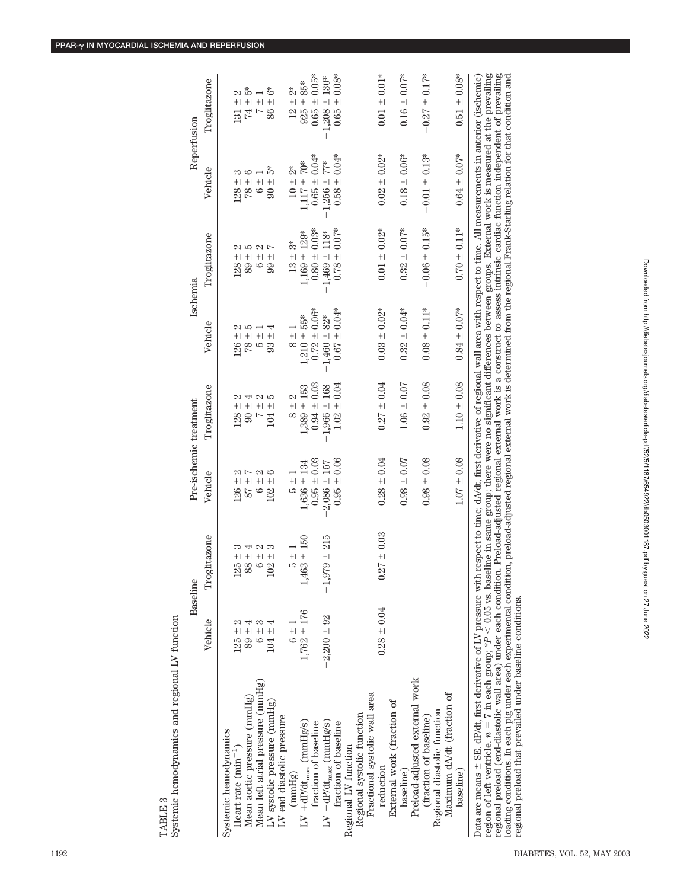| Troglitazone<br>$1,463 + 150$<br>$\begin{array}{c} 48 + 4 \\ 6 + 2 \\ 102 \end{array}$<br>ಣ<br>$\frac{1}{1}$<br>$+1$<br>$+1$<br>ro<br>125<br>102<br>$-1,979$<br>$1,762 \pm 176$<br>$-2,200 = 92$<br>Vehicle<br>$125 \pm 2$<br>89 ± 4<br>$\frac{1}{6}$<br>$104 \pm$<br>$+$<br>Mean left atrial pressure (mmHg)<br>Mean aortic pressure (mmHg)<br>$LV$ systolic pressure ( $mmHg$ )<br>LV end diastolic pressure<br>$LV + dP/dt_{\text{max}}$ (mmHg/s)<br>$LV-dP/dt_{\text{max}}$ ( $\text{mmHg/s}$ )<br>fraction of baseline<br>Systemic hemodynamics<br>Heart rate $(\min^{-1})$<br>(mmHg) | $\sim$ $\sim$<br>$\begin{array}{c} 24 & 24 & 24 \\ 24 & 24 & 24 \\ 24 & 24 & 24 \\ 24 & 24 & 24 \\ 24 & 24 & 24 \\ 25 & 24 & 24 \\ 26 & 24 & 24 \\ 27 & 24 & 24 \\ 28 & 24 & 24 \\ 29 & 24 & 24 \\ 20 & 24 & 24 \\ 20 & 24 & 24 \\ 20 & 24 & 24 \\ 20 & 24 & 24 \\ 20 & 24 & 24 \\ 20 & 24 & 24 \\ 20 & 24 & 24 \\ 20 & 24 & $<br>Vehicle<br>$+1$<br>$126 \pm$<br>78<br>102<br>$\dot{\circ}$ | Troglitazone                                          | Vehicle                | Troglitazone                                   | Vehicle                                            | Troglitazone                       |
|--------------------------------------------------------------------------------------------------------------------------------------------------------------------------------------------------------------------------------------------------------------------------------------------------------------------------------------------------------------------------------------------------------------------------------------------------------------------------------------------------------------------------------------------------------------------------------------------|----------------------------------------------------------------------------------------------------------------------------------------------------------------------------------------------------------------------------------------------------------------------------------------------------------------------------------------------------------------------------------------------|-------------------------------------------------------|------------------------|------------------------------------------------|----------------------------------------------------|------------------------------------|
|                                                                                                                                                                                                                                                                                                                                                                                                                                                                                                                                                                                            |                                                                                                                                                                                                                                                                                                                                                                                              |                                                       |                        |                                                |                                                    |                                    |
|                                                                                                                                                                                                                                                                                                                                                                                                                                                                                                                                                                                            |                                                                                                                                                                                                                                                                                                                                                                                              |                                                       |                        |                                                |                                                    |                                    |
|                                                                                                                                                                                                                                                                                                                                                                                                                                                                                                                                                                                            |                                                                                                                                                                                                                                                                                                                                                                                              | N<br>$128 \pm$                                        | $126 \pm$              | $128 +$                                        | S<br>$128 +$                                       | 2<br>$131 \pm$                     |
|                                                                                                                                                                                                                                                                                                                                                                                                                                                                                                                                                                                            |                                                                                                                                                                                                                                                                                                                                                                                              | 4<br>$+1$<br>$\frac{1}{2}$                            | U ro<br>$\pm$ 87       | $+89$                                          | $\circ$ $\overline{\phantom{0}}$<br>$\overline{8}$ | $74 \pm 5*$                        |
|                                                                                                                                                                                                                                                                                                                                                                                                                                                                                                                                                                                            |                                                                                                                                                                                                                                                                                                                                                                                              | $\omega$ ro<br>$\qquad \qquad + \,$<br>$\overline{z}$ | $+1$<br>LО             | $\omega$ to $\omega$ $\sim$<br>$+1$<br>$\circ$ | $6 + 6$<br>$6 + 1$<br>$6 - 6$                      | $+1$                               |
|                                                                                                                                                                                                                                                                                                                                                                                                                                                                                                                                                                                            |                                                                                                                                                                                                                                                                                                                                                                                              | $104 \pm$                                             | $93 +$                 | $+80$                                          | సే<br>$\pm$ 00                                     | ő<br>$-566$                        |
|                                                                                                                                                                                                                                                                                                                                                                                                                                                                                                                                                                                            | $\ddot{+}$<br>LO.                                                                                                                                                                                                                                                                                                                                                                            | 2<br>$\ddot{+}$<br>$\infty$                           | $\ddot{+}$<br>$\infty$ | $13 \pm 3^*$                                   | 21<br>$\frac{+}{0}$                                | 21<br>$\frac{+}{2}$                |
|                                                                                                                                                                                                                                                                                                                                                                                                                                                                                                                                                                                            | $1,636 = 134$                                                                                                                                                                                                                                                                                                                                                                                | 153<br>$1,389 =$                                      | $1,210 = 55*$          | $1,169 \pm 129$ *                              | $1,117 = 70*$                                      | $925 \pm 85*$                      |
|                                                                                                                                                                                                                                                                                                                                                                                                                                                                                                                                                                                            | $0.95 = 0.03$                                                                                                                                                                                                                                                                                                                                                                                | 0.03<br>$0.94 +$                                      | $0.72 \pm 0.06$ *      | $0.80 + 0.03*$                                 | $0.65 \pm 0.04*$                                   | $0.65 \pm 0.05*$                   |
|                                                                                                                                                                                                                                                                                                                                                                                                                                                                                                                                                                                            | $2,086 \pm 157$<br>215                                                                                                                                                                                                                                                                                                                                                                       | 168<br>$-1,966 +$                                     | $1,460 = 82*$          | $-1,469 \pm 118$ <sup>*</sup>                  | $-1,256 = 77*$                                     | $1,208 \pm 130*$<br>$\overline{1}$ |
| fraction of baseline                                                                                                                                                                                                                                                                                                                                                                                                                                                                                                                                                                       | $\pm 0.06$<br>0.95                                                                                                                                                                                                                                                                                                                                                                           | 0.04<br>$1.02 +$                                      | $0.67 \pm 0.04*$       | $0.78 \pm 0.07$ *                              | $0.04*$<br>$\overline{+}$<br>0.58                  | $0.65 \pm 0.08$ *                  |
| Regional LV function                                                                                                                                                                                                                                                                                                                                                                                                                                                                                                                                                                       |                                                                                                                                                                                                                                                                                                                                                                                              |                                                       |                        |                                                |                                                    |                                    |
| Regional systolic function                                                                                                                                                                                                                                                                                                                                                                                                                                                                                                                                                                 |                                                                                                                                                                                                                                                                                                                                                                                              |                                                       |                        |                                                |                                                    |                                    |
| Fractional systolic wall area                                                                                                                                                                                                                                                                                                                                                                                                                                                                                                                                                              |                                                                                                                                                                                                                                                                                                                                                                                              |                                                       |                        |                                                |                                                    |                                    |
| $0.27 \pm 0.03$<br>$0.28 \pm 0.04$<br>reduction                                                                                                                                                                                                                                                                                                                                                                                                                                                                                                                                            | $\pm 0.04$<br>0.28                                                                                                                                                                                                                                                                                                                                                                           | $0.27 \pm 0.04$                                       | $0.03 \pm 0.02$ *      | $0.01 \pm 0.02$ *                              | $10.02*$<br>0.02                                   | $+0.01*$<br>0.01                   |
| External work (fraction of                                                                                                                                                                                                                                                                                                                                                                                                                                                                                                                                                                 |                                                                                                                                                                                                                                                                                                                                                                                              |                                                       |                        |                                                |                                                    |                                    |
| baseline)                                                                                                                                                                                                                                                                                                                                                                                                                                                                                                                                                                                  | $0.98 \pm 0.07$                                                                                                                                                                                                                                                                                                                                                                              | $1.06 \pm 0.07$                                       | $0.32 \pm 0.04*$       | $0.32 \pm 0.07*$                               | $0.18 \pm 0.06$ <sup>*</sup>                       | $0.16 \pm 0.07*$                   |
| Preload-adjusted external work                                                                                                                                                                                                                                                                                                                                                                                                                                                                                                                                                             |                                                                                                                                                                                                                                                                                                                                                                                              |                                                       |                        |                                                |                                                    |                                    |
| (fraction of baseline)                                                                                                                                                                                                                                                                                                                                                                                                                                                                                                                                                                     | $0.98 \pm 0.08$                                                                                                                                                                                                                                                                                                                                                                              | $0.92 \pm 0.08$                                       | $0.08 \pm 0.11*$       | $-0.06 \pm 0.15$ *                             | $-0.01 \pm 0.13$ <sup>*</sup>                      | $-0.27 \pm 0.17$ <sup>*</sup>      |
| Regional diastolic function                                                                                                                                                                                                                                                                                                                                                                                                                                                                                                                                                                |                                                                                                                                                                                                                                                                                                                                                                                              |                                                       |                        |                                                |                                                    |                                    |
| Maximum dA/dt (fraction of                                                                                                                                                                                                                                                                                                                                                                                                                                                                                                                                                                 |                                                                                                                                                                                                                                                                                                                                                                                              |                                                       |                        |                                                |                                                    |                                    |
| baseline)                                                                                                                                                                                                                                                                                                                                                                                                                                                                                                                                                                                  | $1.07 \pm 0.08$                                                                                                                                                                                                                                                                                                                                                                              | $1.10 \pm 0.08$                                       | $0.84 \pm 0.07*$       | $0.70 \pm 0.11*$                               | $0.64 \pm 0.07*$                                   | $0.51 \pm 0.08$ *                  |

# TABLE 3<br>Systemic hemodynamics and regional LV function Systemic hemodynamics and regional LV function TABLE 3

region of left ventricle. *n* 7 in each group; \**P* V  $< 0.05$  vs. baseline in same group; there were no signi ficant differences between groups. External work is measured at the prevailing regional preload (end-diastolic wall area) under each condition. Preload-adjusted regional external work is a construct to assess intrinsic cardiac function independent of prevailing loading conditions. In each pig under each experimental condition, preload-adjusted regional external work is determined from the regional Frank-Starling relation for that condition and regional preload that prevailed under baseline conditions.

Downloaded from http://diabetesjournals.org/diabetes/article-pdf/52/5/1187/654922/db0503001187.pdf by guest on 27 June 2022

Downloaded from http://diabetesjournals.org/diabetes/article-pdf/52/5/1187/654922/db0503001187.pdf by guest on 27 June 2022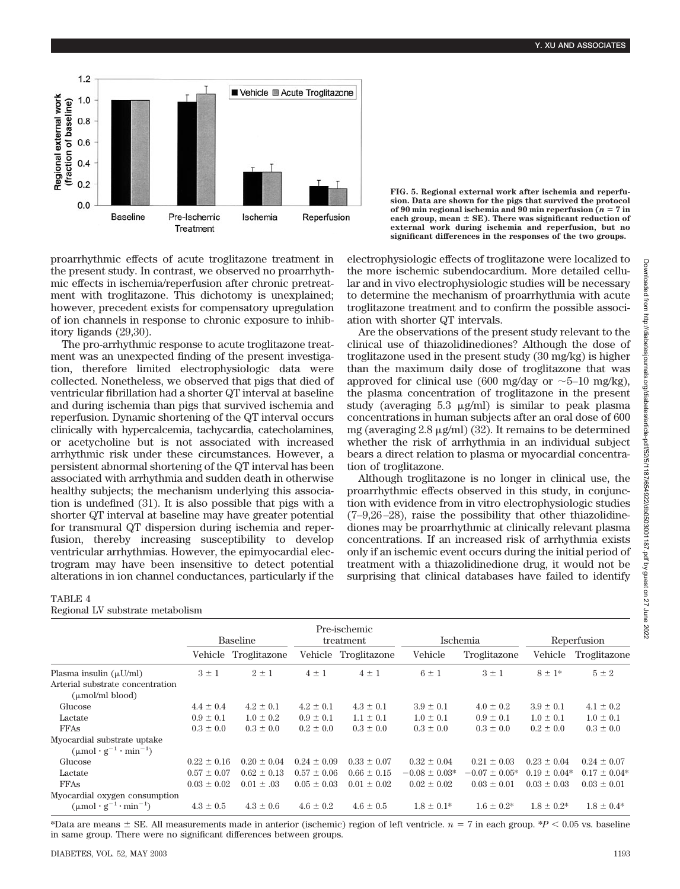

**FIG. 5. Regional external work after ischemia and reperfusion. Data are shown for the pigs that survived the protocol** of 90 min regional ischemia and 90 min reperfusion  $(n = 7$  in each group, mean  $\pm$  SE). There was significant reduction of **external work during ischemia and reperfusion, but no significant differences in the responses of the two groups.**

proarrhythmic effects of acute troglitazone treatment in the present study. In contrast, we observed no proarrhythmic effects in ischemia/reperfusion after chronic pretreatment with troglitazone. This dichotomy is unexplained; however, precedent exists for compensatory upregulation of ion channels in response to chronic exposure to inhibitory ligands (29,30).

The pro-arrhythmic response to acute troglitazone treatment was an unexpected finding of the present investigation, therefore limited electrophysiologic data were collected. Nonetheless, we observed that pigs that died of ventricular fibrillation had a shorter QT interval at baseline and during ischemia than pigs that survived ischemia and reperfusion. Dynamic shortening of the QT interval occurs clinically with hypercalcemia, tachycardia, catecholamines, or acetycholine but is not associated with increased arrhythmic risk under these circumstances. However, a persistent abnormal shortening of the QT interval has been associated with arrhythmia and sudden death in otherwise healthy subjects; the mechanism underlying this association is undefined (31). It is also possible that pigs with a shorter QT interval at baseline may have greater potential for transmural QT dispersion during ischemia and reperfusion, thereby increasing susceptibility to develop ventricular arrhythmias. However, the epimyocardial electrogram may have been insensitive to detect potential alterations in ion channel conductances, particularly if the

# TABLE 4

Regional LV substrate metabolism

electrophysiologic effects of troglitazone were localized to the more ischemic subendocardium. More detailed cellular and in vivo electrophysiologic studies will be necessary to determine the mechanism of proarrhythmia with acute troglitazone treatment and to confirm the possible association with shorter QT intervals.

Are the observations of the present study relevant to the inical use of thiazolidined iones? Although the dose of clinical use of thiazolidinediones? Although the do troglitazone used in the present study  $(30 \text{ mg/kg})$  is than the maximum daily dose of troglitazone that approved for clinical use (600 mg/day or  $\sim$  5–10 m the plasma concentration of troglitazone in the present study (averaging  $5.3 \mu g/ml$ ) is similar to peak plasma concentrations in human subjects after an oral dose of 600 mg (averaging  $2.8 \mu\text{g/ml}$ ) (32). It remains to be determined whether the risk of arrhythmia in an individual subject bears a direct relation to plasma or myocardial conc tion of troglitazone.

Although troglitazone is no longer in clinical use, the proarrhythmic effects observed in this study, in co. tion with evidence from in vitro electrophysiologic studies  $(7-9,26-28)$ , raise the possibility that other thiazol diones may be proarrhythmic at clinically relevant plasma concentrations. If an increased risk of arrhythmia exists only if an ischemic event occurs during the initial period of treatment with a thiazolidinedione drug, it would not be treatment with a thiazolidinedione drug, it would surprising that clinical databases have failed to identify

| to the  |
|---------|
| ose of  |
| higher  |
| at was  |
| ng/kg)  |
| resent  |
| olasma  |
| of 600  |
| mined   |
| subject |
| entra   |
| se, the |
|         |
|         |
| njunc   |
| studies |
| lidine  |
| blasma  |
| exists  |
| riod of |
| not be  |
| dentify |

|                                                                                                | <b>Baseline</b> |                      | Pre-ischemic<br>treatment |                      | <b>Ischemia</b>   |                    | Reperfusion      |                  |
|------------------------------------------------------------------------------------------------|-----------------|----------------------|---------------------------|----------------------|-------------------|--------------------|------------------|------------------|
|                                                                                                |                 | Vehicle Troglitazone |                           | Vehicle Troglitazone | Vehicle           | Troglitazone       | Vehicle          | Troglitazone     |
| Plasma insulin $(\mu U/ml)$<br>Arterial substrate concentration<br>$(\mu \text{mol/ml blood})$ | $3 \pm 1$       | $2 \pm 1$            | $4 \pm 1$                 | $4 \pm 1$            | $6 \pm 1$         | $3 \pm 1$          | $8 \pm 1*$       | $5 \pm 2$        |
| Glucose                                                                                        | $4.4 \pm 0.4$   | $4.2 \pm 0.1$        | $4.2 \pm 0.1$             | $4.3 \pm 0.1$        | $3.9 \pm 0.1$     | $4.0 \pm 0.2$      | $3.9 \pm 0.1$    | $4.1 \pm 0.2$    |
| Lactate                                                                                        | $0.9 \pm 0.1$   | $1.0 \pm 0.2$        | $0.9 \pm 0.1$             | $1.1 \pm 0.1$        | $1.0 \pm 0.1$     | $0.9 \pm 0.1$      | $1.0 \pm 0.1$    | $1.0 \pm 0.1$    |
| <b>FFAs</b>                                                                                    | $0.3 \pm 0.0$   | $0.3 \pm 0.0$        | $0.2 \pm 0.0$             | $0.3 \pm 0.0$        | $0.3 \pm 0.0$     | $0.3 \pm 0.0$      | $0.2 \pm 0.0$    | $0.3 \pm 0.0$    |
| Myocardial substrate uptake<br>$(\mu \text{mol} \cdot \text{g}^{-1} \cdot \text{min}^{-1})$    |                 |                      |                           |                      |                   |                    |                  |                  |
| Glucose                                                                                        | $0.22 \pm 0.16$ | $0.20 \pm 0.04$      | $0.24 \pm 0.09$           | $0.33 \pm 0.07$      | $0.32 \pm 0.04$   | $0.21 \pm 0.03$    | $0.23 \pm 0.04$  | $0.24 \pm 0.07$  |
| Lactate                                                                                        | $0.57 \pm 0.07$ | $0.62 \pm 0.13$      | $0.57 \pm 0.06$           | $0.66 \pm 0.15$      | $-0.08 \pm 0.03*$ | $-0.07 \pm 0.05^*$ | $0.19 \pm 0.04*$ | $0.17 \pm 0.04*$ |
| <b>FFAs</b>                                                                                    | $0.03 \pm 0.02$ | $0.01 \pm .03$       | $0.05 \pm 0.03$           | $0.01 \pm 0.02$      | $0.02 \pm 0.02$   | $0.03 \pm 0.01$    | $0.03 \pm 0.03$  | $0.03 \pm 0.01$  |
| Myocardial oxygen consumption<br>$(\mu \text{mol} \cdot \text{g}^{-1} \cdot \text{min}^{-1})$  | $4.3 \pm 0.5$   | $4.3 \pm 0.6$        | $4.6 \pm 0.2$             | $4.6 \pm 0.5$        | $1.8 \pm 0.1*$    | $1.6 \pm 0.2^*$    | $1.8 \pm 0.2^*$  | $1.8 \pm 0.4*$   |

\*Data are means  $\pm$  SE. All measurements made in anterior (ischemic) region of left ventricle.  $n = 7$  in each group. \* $P < 0.05$  vs. baseline in same group. There were no significant differences between groups.